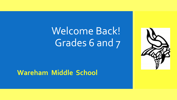## Welcome Back! Grades 6 and 7



## **Wareham Middle School**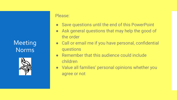Meeting Norms



### Please:

- Save questions until the end of this PowerPoint
- Ask general questions that may help the good of the order
- Call or email me if you have personal, confidential questions
- Remember that this audience could include children
- Value all families' personal opinions whether you agree or not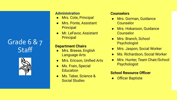Grade 6 & 7 **Staff** 



### **Administration**

- **Mrs. Cote, Principal**
- **Mrs. Ponte, Assistant Principal**
- Mr. LeFavor, Assistant **Principal**

### **Department Chairs**

- Mrs. Breese, English Language Arts
- **Mrs. Ericson, Unified Arts**
- Ms. Frain, Special **Education**
- Ms. Taber, Science & Social Studies

### **Counselors**

- Mrs. Gorman, Guidance Counselor
- Mrs. Hokanson, Guidance Counselor
- Mrs. Branch, School Psychologist
- Mrs. Jaspon, Social Worker
- Ms. Richardson, Social Worker
- Mrs. Hunter, Team Chair/School Psychologist

### **School Resource Officer**

● Officer Baptiste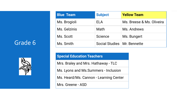### Grade 6



| <b>Blue Team</b> | <b>Subject</b>                | <b>Yellow Team</b>        |  |
|------------------|-------------------------------|---------------------------|--|
| Ms. Brogioli     | ELA                           | Ms. Breese & Ms. Oliveira |  |
| Ms. Gelzinis     | Math                          | Ms. Andrews               |  |
| Ms. Scott        | Science                       | Ms. Bungert               |  |
| Ms. Smith        | Social Studies   Mr. Bennette |                           |  |

### **Special Education Teachers**

Mrs. Braley and Mrs. Hathaway - TLC

Ms. Lyons and Ms.Summers - Inclusion

Ms. Heard/Ms. Cannon - Learning Center

Mrs. Greene - ASD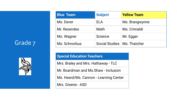### Grade 7



| <b>Blue Team</b> | <b>Subject</b>                | <b>Yellow Team</b> |  |
|------------------|-------------------------------|--------------------|--|
| Ms. Dever        | ELA                           | Ms. Brangwynne     |  |
| Mr. Rezendes     | Math                          | Ms. Crimaldi       |  |
| Ms. Wagner       | Science                       | Mr. Egger          |  |
| Ms. Schnorbus    | Social Studies   Ms. Thatcher |                    |  |

### **Special Education Teachers**

Mrs. Braley and Mrs. Hathaway - TLC

Mr. Boardman and Ms.Shaw - Inclusion

Ms. Heard/Ms. Cannon - Learning Center

Mrs. Greene - ASD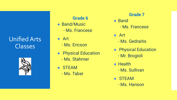## Unified Arts Classes



### **Grade 6**

- Band/Music
	- Ms. Francese
- Art - Ms. Ericson
- Physical Education - Ms. Stahmer
- STEAM - Ms. Taber

### **Grade 7**

- Band - Ms. Francese
- Art - Ms. Gedraitis
- Physical Education
	- Mr. Brogioli
- Health
	- Ms. Sullivan
- STEAM
	- Ms. Hanson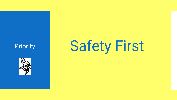

# Priority **Safety First**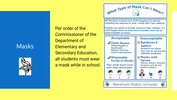### Masks



Per order of the Commissioner of the Department of Elementary and Secondary Education, all students must wear a mask while in school.



**Wareham Public Schools**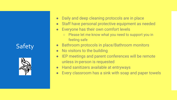## **Safety**



- Daily and deep cleaning protocols are in place
- Staff have personal protective equipment as needed
- Everyone has their own comfort levels
	- Please let me know what you need to support you in feeling safe
- **Bathroom protocols in place/Bathroom monitors**
- No visitors to the building
- IEP meetings and parent conferences will be remote unless in-person is requested
- Hand sanitizers available at entryways
- Every classroom has a sink with soap and paper towels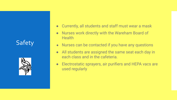## **Safety**



- Currently, all students and staff must wear a mask
- Nurses work directly with the Wareham Board of **Health**
- Nurses can be contacted if you have any questions
- All students are assigned the same seat each day in each class and in the cafeteria.
- Electrostatic sprayers, air purifiers and HEPA vacs are used regularly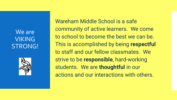## We are VIKING STRONG!

Wareham Middle School is a safe community of active learners. We come to school to become the best we can be. This is accomplished by being **respectful** to staff and our fellow classmates. We strive to be **responsible**, hard-working students. We are **thoughtful** in our actions and our interactions with others.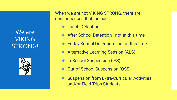## We are VIKING STRONG!



When we are not VIKING STRONG, there are consequences that include:

- **Lunch Detention**
- After School Detention not at this time
- Friday School Detention not at this time
- Alternative Learning Session (ALS)
- In-School Suspension (ISS)
- Out-of-School Suspension (OSS)
- Suspension from Extra-Curricular Activities and/or Field Trips Students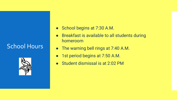## School Hours



- School begins at 7:30 A.M.
- Breakfast is available to all students during homeroom
- The warning bell rings at 7:40 A.M.
- 1st period begins at 7:50 A.M.
- Student dismissal is at 2:02 PM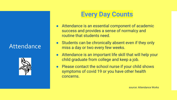## Attendance



## **Every Day Counts**

- Attendance is an essential component of academic success and provides a sense of normalcy and routine that students need.
- Students can be chronically absent even if they only miss a day or two every few weeks.
- Attendance is an important life skill that will help your child graduate from college and keep a job.
- Please contact the school nurse if your child shows symptoms of covid 19 or you have other health concerns.

source: Attendance Works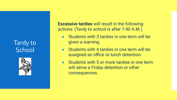Tardy to **School** 



**Excessive tardies** will result in the following actions: (Tardy to school is after 7:40 A.M.)

- Students with 3 tardies in one term will be given a warning.
- Students with 4 tardies in one term will be assigned an office or lunch detention.
- Students with 5 or more tardies in one term will serve a Friday detention or other consequences.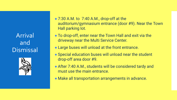Arrival and Dismissal



- $\bullet$  7:30 A.M. to 7:40 A.M., drop-off at the auditorium/gymnasium entrance (door #9). Near the Town Hall parking lot.
- To drop-off, enter near the Town Hall and exit via the driveway near the Multi Service Center.
- Large buses will unload at the front entrance.
- Special education buses will unload near the student drop-off area door #9.
- After 7:40 A.M., students will be considered tardy and must use the main entrance.
- Make all transportation arrangements in advance.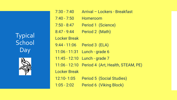Typical School Day



| $7:30 - 7:40$       | Arrival - Lockers - Breakfast     |
|---------------------|-----------------------------------|
| $7:40 - 7:50$       | Homeroom                          |
| $7:50 - 8:47$       | Period 1 (Science)                |
| $8:47 - 9:44$       | Period 2 (Math)                   |
| <b>Locker Break</b> |                                   |
| $9:44 - 11:06$      | Period 3 (ELA)                    |
|                     | 11:06 - 11:31    Lunch - grade 6  |
| $11:45 - 12:10$     | Lunch - grade 7                   |
| $11:06 - 12:10$     | Period 4 (Art, Health, STEAM, PE) |
| <b>Locker Break</b> |                                   |
| 12:10-1:05          | <b>Period 5 (Social Studies)</b>  |
| $1:05 - 2:02$       | Period 6 (Viking Block)           |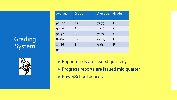## **Grading** System



| Average   | Grade        | Average   | <b>Grade</b> |
|-----------|--------------|-----------|--------------|
|           |              |           |              |
| 97-100    | $A+$         | $77 - 79$ | $C+$         |
| 93-96     | $\mathsf{A}$ | $73 - 76$ | $\mathsf{C}$ |
| 90-92     | $A -$        | $70 - 72$ | $C-$         |
| 87-89     | $B+$         | 65-69     | D            |
| 83-86     | B            | $0 - 64$  | F            |
| $80 - 82$ | B-           |           |              |

- Report cards are issued quarterly
- Progress reports are issued mid-quarter
- PowerSchool access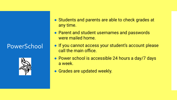## PowerSchool



- Students and parents are able to check grades at any time.
- Parent and student usernames and passwords were mailed home.
- If you cannot access your student's account please call the main office.
- Power school is accessible 24 hours a day/7 days a week.
- Grades are updated weekly.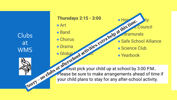Clubs at WMS



### **Thursdays 2:15 - 3:00**

● Art

● Band

● Chorus

● Drama · Global Aacton  $\bullet$  Honor Section Ty Anis Lu Council **Antramurals** 

- Safe School Alliance
- Science Club

● Yearbook

 $\mathcal{F}$  must pick your child up at school by 3:00 P.M.. Please be sure to make arrangements ahead of time if e Art<br>
Band<br>
Chorus<br>
Chorus<br>
Drama<br>
Clobal<br>
Sorry - no clubs or after-school activity.<br>
Please be sure to make arrangements ahead of time.<br>
Sorry - no clubs or after-school activity.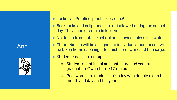And…



● Lockers.....Practice, practice, practice!

- Backpacks and cellphones are not allowed during the school day. They should remain in lockers.
- No drinks from outside school are allowed unless it is water.
- Chromebooks will be assigned to individual students and will be taken home each night to finish homework and to charge.
- Student emails are set-up
	- Student 's first initial and last name and year of graduation @wareham.k12.ma.us
	- Passwords are student's birthday with double digits for month and day and full year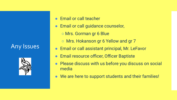## Any Issues



- Email or call teacher
- Email or call guidance counselor,
	- Mrs. Gorman gr 6 Blue
	- Mrs. Hokanson gr 6 Yellow and gr 7
- Email or call assistant principal, Mr. LeFavor
- Email resource officer, Officer Baptiste
- Please discuss with us before you discuss on social media
- We are here to support students and their families!